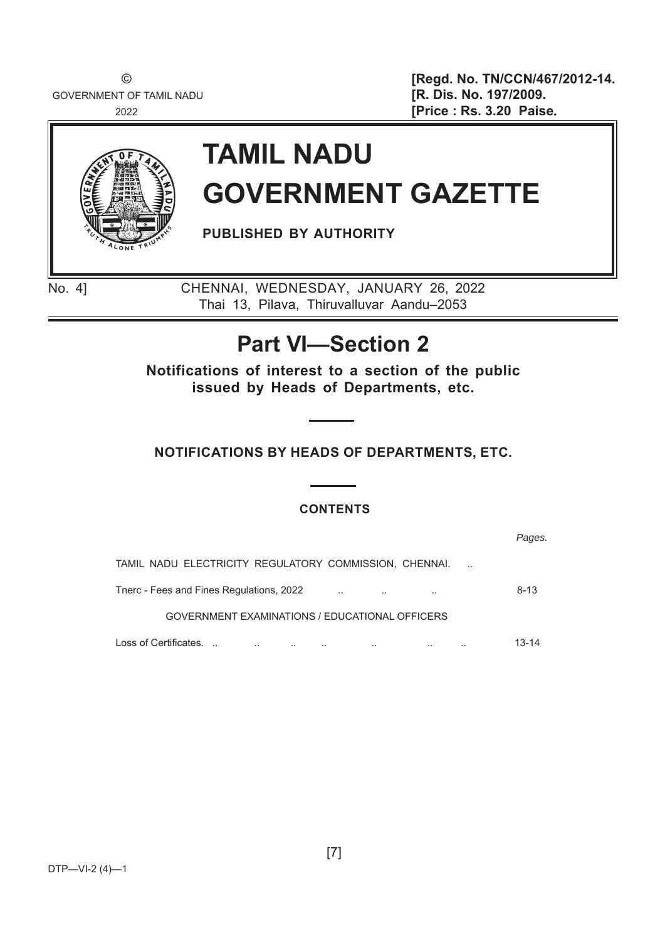GOVERNMENT OF TAMIL NADU **and Solution Contract Contract Contract Contract Contract Contract Contract Contract Contract Contract Contract Contract Contract Contract Contract Contract Contract Contract Contract Contract Con** 

© **[Regd. No. TN/CCN/467/2012-14.** <sup>2022</sup> **[Price : Rs. 3.20 Paise**.



# **TAMIL NADU GOVERNMENT GAZETTE**

**PUBLISHED BY AUTHORITY**

No. 4] CHENNAI, WEDNESDAY, JANUARY 26, 2022 Thai 13, Pilava, Thiruvalluvar Aandu–2053

## **Part VI—Section 2**

**Notifications of interest to a section of the public issued by Heads of Departments, etc.**

## **NOTIFICATIONS BY HEADS OF DEPARTMENTS, ETC.**

## **CONTENTS**

*Pages.* TAMIL NADU ELECTRICITY REGULATORY COMMISSION, CHENNAI. .. Tnerc - Fees and Fines Regulations, 2022 .. .. .. 8-13 GOVERNMENT EXAMINATIONS / EDUCATIONAL OFFICERS Loss of Certifi oss Certifi cates. .. .. .. .. .. .. .. .. 13-14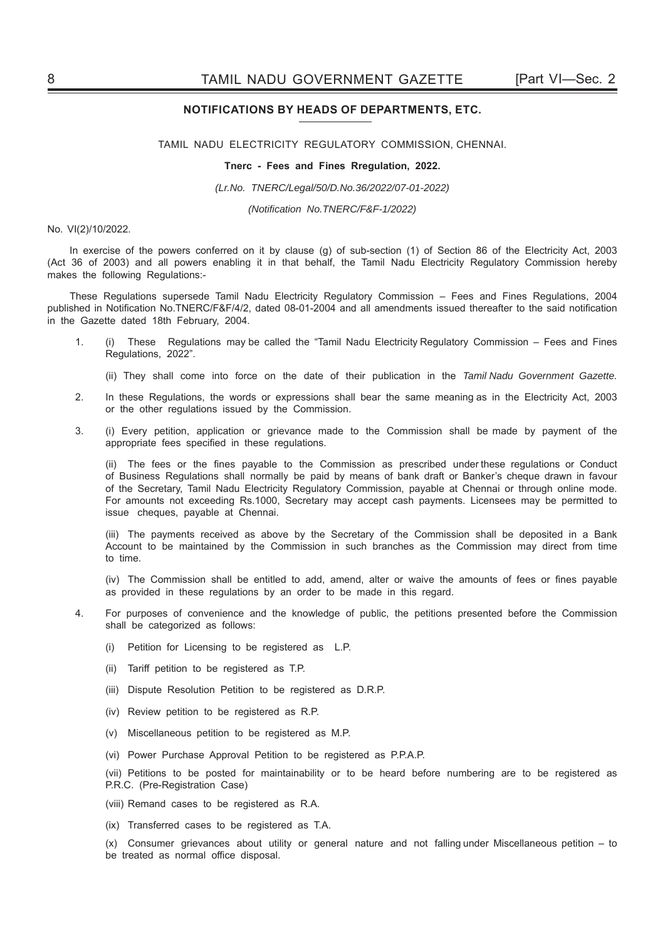### **NOTIFICATIONS BY HEADS OF DEPARTMENTS, ETC.**

TAMIL NADU ELECTRICITY REGULATORY COMMISSION, CHENNAI.

### **Tnerc - Fees and Fines Rregulation, 2022.**

*(Lr.No. TNERC/Legal/50/D.No.36/2022/07-01-2022)*

*(Notifi cation No.TNERC/F&F-1/2022)* 

### No. VI(2)/10/2022.

In exercise of the powers conferred on it by clause (g) of sub-section (1) of Section 86 of the Electricity Act, 2003 (Act 36 of 2003) and all powers enabling it in that behalf, the Tamil Nadu Electricity Regulatory Commission hereby makes the following Regulations:-

These Regulations supersede Tamil Nadu Electricity Regulatory Commission – Fees and Fines Regulations, 2004 published in Notification No.TNERC/F&F/4/2, dated 08-01-2004 and all amendments issued thereafter to the said notification in the Gazette dated 18th February, 2004.

- 1. (i) These Regulations may be called the "Tamil Nadu Electricity Regulatory Commission Fees and Fines Regulations, 2022".
	- (ii) They shall come into force on the date of their publication in the *Tamil Nadu Government Gazette.*
- 2. In these Regulations, the words or expressions shall bear the same meaning as in the Electricity Act, 2003 or the other regulations issued by the Commission.
- 3. (i) Every petition, application or grievance made to the Commission shall be made by payment of the appropriate fees specified in these regulations.

(ii) The fees or the fines payable to the Commission as prescribed under these regulations or Conduct of Business Regulations shall normally be paid by means of bank draft or Banker's cheque drawn in favour of the Secretary, Tamil Nadu Electricity Regulatory Commission, payable at Chennai or through online mode. For amounts not exceeding Rs.1000, Secretary may accept cash payments. Licensees may be permitted to issue cheques, payable at Chennai.

 (iii) The payments received as above by the Secretary of the Commission shall be deposited in a Bank Account to be maintained by the Commission in such branches as the Commission may direct from time to time.

(iv) The Commission shall be entitled to add, amend, alter or waive the amounts of fees or fines payable as provided in these regulations by an order to be made in this regard.

- 4. For purposes of convenience and the knowledge of public, the petitions presented before the Commission shall be categorized as follows:
	- (i) Petition for Licensing to be registered as L.P.
	- (ii) Tariff petition to be registered as T.P.
	- (iii) Dispute Resolution Petition to be registered as D.R.P.
	- (iv) Review petition to be registered as R.P.
	- (v) Miscellaneous petition to be registered as M.P.
	- (vi) Power Purchase Approval Petition to be registered as P.P.A.P.

 (vii) Petitions to be posted for maintainability or to be heard before numbering are to be registered as P.R.C. (Pre-Registration Case)

- (viii) Remand cases to be registered as R.A.
- (ix) Transferred cases to be registered as T.A.

 (x) Consumer grievances about utility or general nature and not falling under Miscellaneous petition – to be treated as normal office disposal.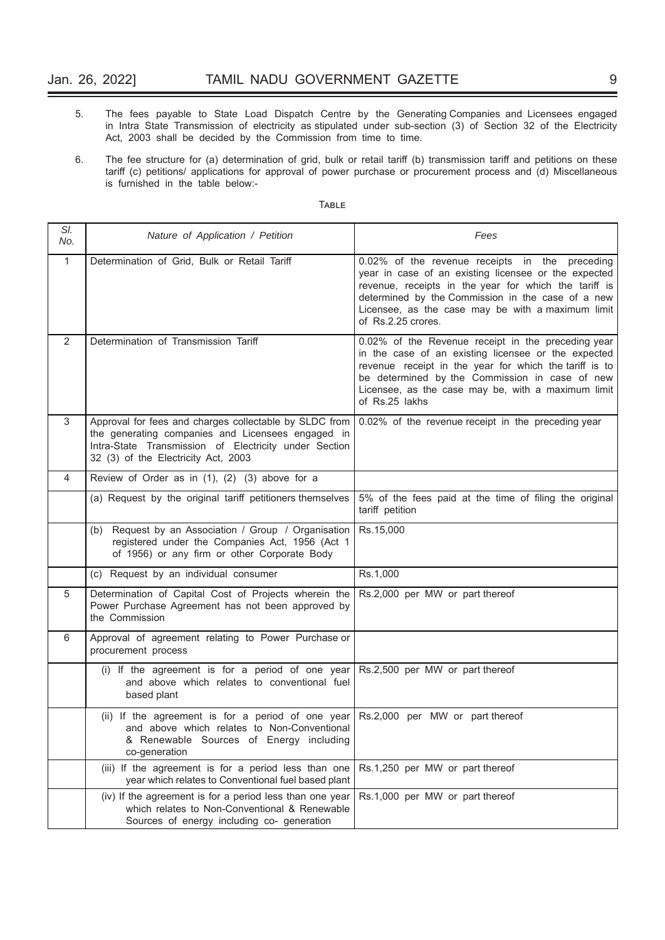- 5. The fees payable to State Load Dispatch Centre by the Generating Companies and Licensees engaged in Intra State Transmission of electricity as stipulated under sub-section (3) of Section 32 of the Electricity Act, 2003 shall be decided by the Commission from time to time.
- 6. The fee structure for (a) determination of grid, bulk or retail tariff (b) transmission tariff and petitions on these tariff (c) petitions/ applications for approval of power purchase or procurement process and (d) Miscellaneous is furnished in the table below:-

| SI.<br>No.   | Nature of Application / Petition                                                                                                                                                                            | Fees                                                                                                                                                                                                                                                                                            |  |  |
|--------------|-------------------------------------------------------------------------------------------------------------------------------------------------------------------------------------------------------------|-------------------------------------------------------------------------------------------------------------------------------------------------------------------------------------------------------------------------------------------------------------------------------------------------|--|--|
| $\mathbf{1}$ | Determination of Grid, Bulk or Retail Tariff                                                                                                                                                                | 0.02% of the revenue receipts in the preceding<br>year in case of an existing licensee or the expected<br>revenue, receipts in the year for which the tariff is<br>determined by the Commission in the case of a new<br>Licensee, as the case may be with a maximum limit<br>of Rs.2.25 crores. |  |  |
| 2            | Determination of Transmission Tariff                                                                                                                                                                        | 0.02% of the Revenue receipt in the preceding year<br>in the case of an existing licensee or the expected<br>revenue receipt in the year for which the tariff is to<br>be determined by the Commission in case of new<br>Licensee, as the case may be, with a maximum limit<br>of Rs.25 lakhs   |  |  |
| 3            | Approval for fees and charges collectable by SLDC from<br>the generating companies and Licensees engaged in<br>Intra-State Transmission of Electricity under Section<br>32 (3) of the Electricity Act, 2003 | 0.02% of the revenue receipt in the preceding year                                                                                                                                                                                                                                              |  |  |
| 4            | Review of Order as in (1), (2) (3) above for a                                                                                                                                                              |                                                                                                                                                                                                                                                                                                 |  |  |
|              | (a) Request by the original tariff petitioners themselves                                                                                                                                                   | 5% of the fees paid at the time of filing the original<br>tariff petition                                                                                                                                                                                                                       |  |  |
|              | (b) Request by an Association / Group / Organisation<br>registered under the Companies Act, 1956 (Act 1<br>of 1956) or any firm or other Corporate Body                                                     | Rs.15,000                                                                                                                                                                                                                                                                                       |  |  |
|              | (c) Request by an individual consumer                                                                                                                                                                       | Rs.1,000                                                                                                                                                                                                                                                                                        |  |  |
| 5            | Determination of Capital Cost of Projects wherein the<br>Power Purchase Agreement has not been approved by<br>the Commission                                                                                | Rs.2,000 per MW or part thereof                                                                                                                                                                                                                                                                 |  |  |
| 6            | Approval of agreement relating to Power Purchase or<br>procurement process                                                                                                                                  |                                                                                                                                                                                                                                                                                                 |  |  |
|              | (i) If the agreement is for a period of one year<br>and above which relates to conventional fuel<br>based plant                                                                                             | Rs.2,500 per MW or part thereof                                                                                                                                                                                                                                                                 |  |  |
|              | (ii) If the agreement is for a period of one year $\vert$ Rs.2,000 per MW or part thereof<br>and above which relates to Non-Conventional<br>& Renewable Sources of Energy including<br>co-generation        |                                                                                                                                                                                                                                                                                                 |  |  |
|              | (iii) If the agreement is for a period less than one<br>year which relates to Conventional fuel based plant                                                                                                 | Rs.1,250 per MW or part thereof                                                                                                                                                                                                                                                                 |  |  |
|              | (iv) If the agreement is for a period less than one year<br>which relates to Non-Conventional & Renewable<br>Sources of energy including co- generation                                                     | Rs.1,000 per MW or part thereof                                                                                                                                                                                                                                                                 |  |  |

### TABLE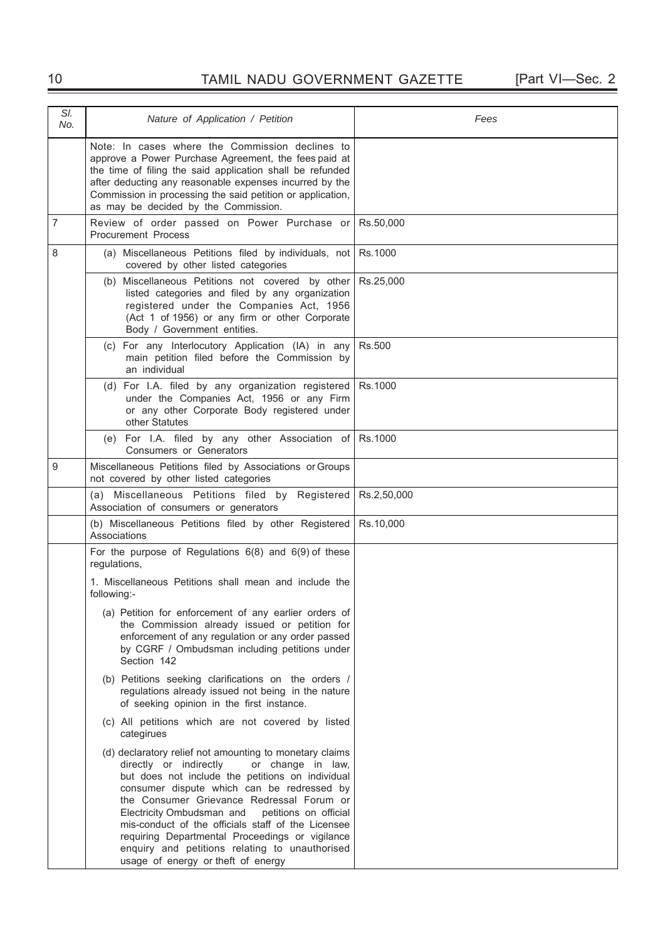## 10 TAMIL NADU GOVERNMENT GAZETTE [Part VI—Sec. 2

| SI.<br>No.     | Nature of Application / Petition                                                                                                                                                                                                                                                                                                                                                                                                                                                                             | Fees        |  |  |
|----------------|--------------------------------------------------------------------------------------------------------------------------------------------------------------------------------------------------------------------------------------------------------------------------------------------------------------------------------------------------------------------------------------------------------------------------------------------------------------------------------------------------------------|-------------|--|--|
|                | Note: In cases where the Commission declines to<br>approve a Power Purchase Agreement, the fees paid at<br>the time of filing the said application shall be refunded<br>after deducting any reasonable expenses incurred by the<br>Commission in processing the said petition or application,<br>as may be decided by the Commission.                                                                                                                                                                        |             |  |  |
| $\overline{7}$ | Review of order passed on Power Purchase or<br><b>Procurement Process</b>                                                                                                                                                                                                                                                                                                                                                                                                                                    | Rs.50,000   |  |  |
| 8              | (a) Miscellaneous Petitions filed by individuals, not<br>covered by other listed categories                                                                                                                                                                                                                                                                                                                                                                                                                  | Rs.1000     |  |  |
|                | (b) Miscellaneous Petitions not covered by other<br>listed categories and filed by any organization<br>registered under the Companies Act, 1956<br>(Act 1 of 1956) or any firm or other Corporate<br>Body / Government entities.                                                                                                                                                                                                                                                                             | Rs.25,000   |  |  |
|                | (c) For any Interlocutory Application (IA) in any<br>main petition filed before the Commission by<br>an individual                                                                                                                                                                                                                                                                                                                                                                                           | Rs.500      |  |  |
|                | (d) For I.A. filed by any organization registered<br>under the Companies Act, 1956 or any Firm<br>or any other Corporate Body registered under<br>other Statutes                                                                                                                                                                                                                                                                                                                                             | Rs.1000     |  |  |
|                | (e) For I.A. filed by any other Association of<br>Consumers or Generators                                                                                                                                                                                                                                                                                                                                                                                                                                    | Rs.1000     |  |  |
| 9              | Miscellaneous Petitions filed by Associations or Groups<br>not covered by other listed categories                                                                                                                                                                                                                                                                                                                                                                                                            |             |  |  |
|                | (a) Miscellaneous Petitions filed by Registered<br>Association of consumers or generators                                                                                                                                                                                                                                                                                                                                                                                                                    | Rs.2,50,000 |  |  |
|                | (b) Miscellaneous Petitions filed by other Registered<br>Associations                                                                                                                                                                                                                                                                                                                                                                                                                                        | Rs.10,000   |  |  |
|                | For the purpose of Regulations $6(8)$ and $6(9)$ of these<br>regulations,                                                                                                                                                                                                                                                                                                                                                                                                                                    |             |  |  |
|                | 1. Miscellaneous Petitions shall mean and include the<br>following:-                                                                                                                                                                                                                                                                                                                                                                                                                                         |             |  |  |
|                | (a) Petition for enforcement of any earlier orders of<br>the Commission already issued or petition for<br>enforcement of any regulation or any order passed<br>by CGRF / Ombudsman including petitions under<br>Section 142                                                                                                                                                                                                                                                                                  |             |  |  |
|                | (b) Petitions seeking clarifications on the orders /<br>regulations already issued not being in the nature<br>of seeking opinion in the first instance.                                                                                                                                                                                                                                                                                                                                                      |             |  |  |
|                | (c) All petitions which are not covered by listed<br>categirues                                                                                                                                                                                                                                                                                                                                                                                                                                              |             |  |  |
|                | (d) declaratory relief not amounting to monetary claims<br>directly or indirectly<br>or change in law,<br>but does not include the petitions on individual<br>consumer dispute which can be redressed by<br>the Consumer Grievance Redressal Forum or<br>Electricity Ombudsman and<br>petitions on official<br>mis-conduct of the officials staff of the Licensee<br>requiring Departmental Proceedings or vigilance<br>enquiry and petitions relating to unauthorised<br>usage of energy or theft of energy |             |  |  |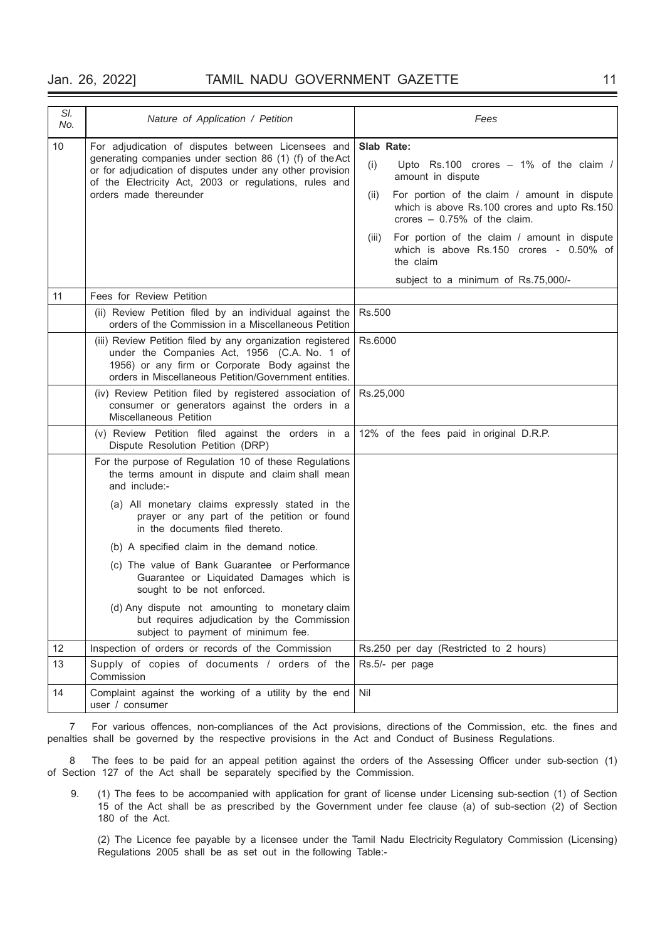### Jan. 26, 2022] TAMIL NADU GOVERNMENT GAZETTE 11

| SI.<br>No. | Nature of Application / Petition                                                                                                                                                                                       | Fees                                                                                                                                  |  |  |
|------------|------------------------------------------------------------------------------------------------------------------------------------------------------------------------------------------------------------------------|---------------------------------------------------------------------------------------------------------------------------------------|--|--|
| 10         | For adjudication of disputes between Licensees and                                                                                                                                                                     | Slab Rate:                                                                                                                            |  |  |
|            | generating companies under section 86 (1) (f) of the Act<br>or for adjudication of disputes under any other provision<br>of the Electricity Act, 2003 or regulations, rules and<br>orders made thereunder              | (i)<br>Upto $Rs.100$ crores $-1\%$ of the claim /<br>amount in dispute                                                                |  |  |
|            |                                                                                                                                                                                                                        | For portion of the claim / amount in dispute<br>(ii)<br>which is above Rs.100 crores and upto Rs.150<br>crores $-0.75%$ of the claim. |  |  |
|            |                                                                                                                                                                                                                        | For portion of the claim / amount in dispute<br>(iii)<br>which is above Rs.150 crores - 0.50% of<br>the claim                         |  |  |
|            |                                                                                                                                                                                                                        | subject to a minimum of Rs.75,000/-                                                                                                   |  |  |
| 11         | Fees for Review Petition                                                                                                                                                                                               |                                                                                                                                       |  |  |
|            | (ii) Review Petition filed by an individual against the<br>orders of the Commission in a Miscellaneous Petition                                                                                                        | Rs.500                                                                                                                                |  |  |
|            | (iii) Review Petition filed by any organization registered<br>under the Companies Act, 1956 (C.A. No. 1 of<br>1956) or any firm or Corporate Body against the<br>orders in Miscellaneous Petition/Government entities. | Rs.6000                                                                                                                               |  |  |
|            | (iv) Review Petition filed by registered association of<br>consumer or generators against the orders in a<br>Miscellaneous Petition                                                                                    | Rs.25,000                                                                                                                             |  |  |
|            | (v) Review Petition filed against the orders in a 12% of the fees paid inoriginal D.R.P.<br>Dispute Resolution Petition (DRP)                                                                                          |                                                                                                                                       |  |  |
|            | For the purpose of Regulation 10 of these Regulations<br>the terms amount in dispute and claim shall mean<br>and include:-                                                                                             |                                                                                                                                       |  |  |
|            | (a) All monetary claims expressly stated in the<br>prayer or any part of the petition or found<br>in the documents filed thereto.                                                                                      |                                                                                                                                       |  |  |
|            | (b) A specified claim in the demand notice.                                                                                                                                                                            |                                                                                                                                       |  |  |
|            | (c) The value of Bank Guarantee or Performance<br>Guarantee or Liquidated Damages which is<br>sought to be not enforced.                                                                                               |                                                                                                                                       |  |  |
|            | (d) Any dispute not amounting to monetary claim<br>but requires adjudication by the Commission<br>subject to payment of minimum fee.                                                                                   |                                                                                                                                       |  |  |
| 12         | Inspection of orders or records of the Commission                                                                                                                                                                      | Rs.250 per day (Restricted to 2 hours)                                                                                                |  |  |
| 13         | Supply of copies of documents / orders of the<br>Commission                                                                                                                                                            | Rs.5/- per page                                                                                                                       |  |  |
| 14         | Complaint against the working of a utility by the end<br>user / consumer                                                                                                                                               | Nil                                                                                                                                   |  |  |

7 For various offences, non-compliances of the Act provisions, directions of the Commission, etc. the fines and penalties shall be governed by the respective provisions in the Act and Conduct of Business Regulations.

8 The fees to be paid for an appeal petition against the orders of the Assessing Officer under sub-section (1) of Section 127 of the Act shall be separately specified by the Commission.

 9. (1) The fees to be accompanied with application for grant of license under Licensing sub-section (1) of Section 15 of the Act shall be as prescribed by the Government under fee clause (a) of sub-section (2) of Section 180 of the Act.

 (2) The Licence fee payable by a licensee under the Tamil Nadu Electricity Regulatory Commission (Licensing) Regulations 2005 shall be as set out in the following Table:-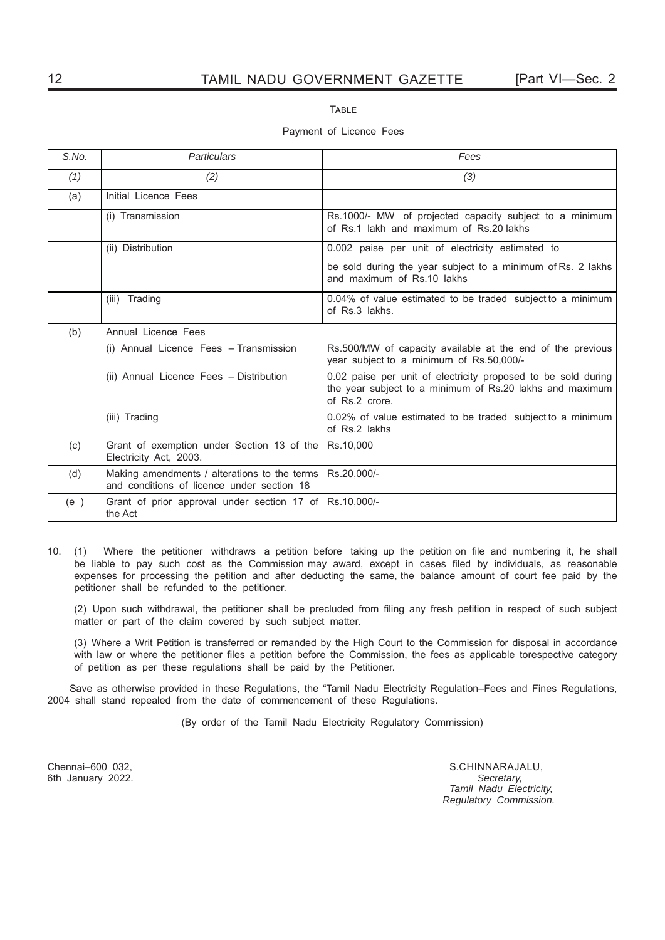TABLE

### Payment of Licence Fees

| S.No. | Particulars                                                                                | Fees                                                                                                                                        |  |
|-------|--------------------------------------------------------------------------------------------|---------------------------------------------------------------------------------------------------------------------------------------------|--|
| (1)   | (2)                                                                                        | (3)                                                                                                                                         |  |
| (a)   | Initial Licence Fees                                                                       |                                                                                                                                             |  |
|       | (i) Transmission                                                                           | Rs.1000/- MW of projected capacity subject to a minimum<br>of Rs.1 lakh and maximum of Rs.20 lakhs                                          |  |
|       | (ii) Distribution                                                                          | 0.002 paise per unit of electricity estimated to                                                                                            |  |
|       |                                                                                            | be sold during the year subject to a minimum of Rs. 2 lakhs<br>and maximum of Rs.10 lakhs                                                   |  |
|       | Trading<br>(iii)                                                                           | 0.04% of value estimated to be traded subject to a minimum<br>of Rs.3 lakhs.                                                                |  |
| (b)   | Annual Licence Fees                                                                        |                                                                                                                                             |  |
|       | (i) Annual Licence Fees - Transmission                                                     | Rs.500/MW of capacity available at the end of the previous<br>year subject to a minimum of Rs.50,000/-                                      |  |
|       | (ii) Annual Licence Fees - Distribution                                                    | 0.02 paise per unit of electricity proposed to be sold during<br>the year subject to a minimum of Rs.20 lakhs and maximum<br>of Rs.2 crore. |  |
|       | (iii) Trading                                                                              | 0.02% of value estimated to be traded subject to a minimum<br>of Rs.2 lakhs                                                                 |  |
| (c)   | Grant of exemption under Section 13 of the<br>Electricity Act, 2003.                       | Rs.10,000                                                                                                                                   |  |
| (d)   | Making amendments / alterations to the terms<br>and conditions of licence under section 18 | Rs.20,000/-                                                                                                                                 |  |
| (e)   | Grant of prior approval under section 17 of<br>the Act                                     | Rs.10,000/-                                                                                                                                 |  |

10. (1) Where the petitioner withdraws a petition before taking up the petition on file and numbering it, he shall be liable to pay such cost as the Commission may award, except in cases filed by individuals, as reasonable expenses for processing the petition and after deducting the same, the balance amount of court fee paid by the petitioner shall be refunded to the petitioner.

(2) Upon such withdrawal, the petitioner shall be precluded from filing any fresh petition in respect of such subject matter or part of the claim covered by such subject matter.

 (3) Where a Writ Petition is transferred or remanded by the High Court to the Commission for disposal in accordance with law or where the petitioner files a petition before the Commission, the fees as applicable torespective category of petition as per these regulations shall be paid by the Petitioner.

Save as otherwise provided in these Regulations, the "Tamil Nadu Electricity Regulation–Fees and Fines Regulations, 2004 shall stand repealed from the date of commencement of these Regulations.

(By order of the Tamil Nadu Electricity Regulatory Commission)

6th January 2022.

Chennai–600 032, S.CHINNARAJALU, 6th January 2022. Secretary,  *Tamil Nadu Electricity, Regulatory Commission.*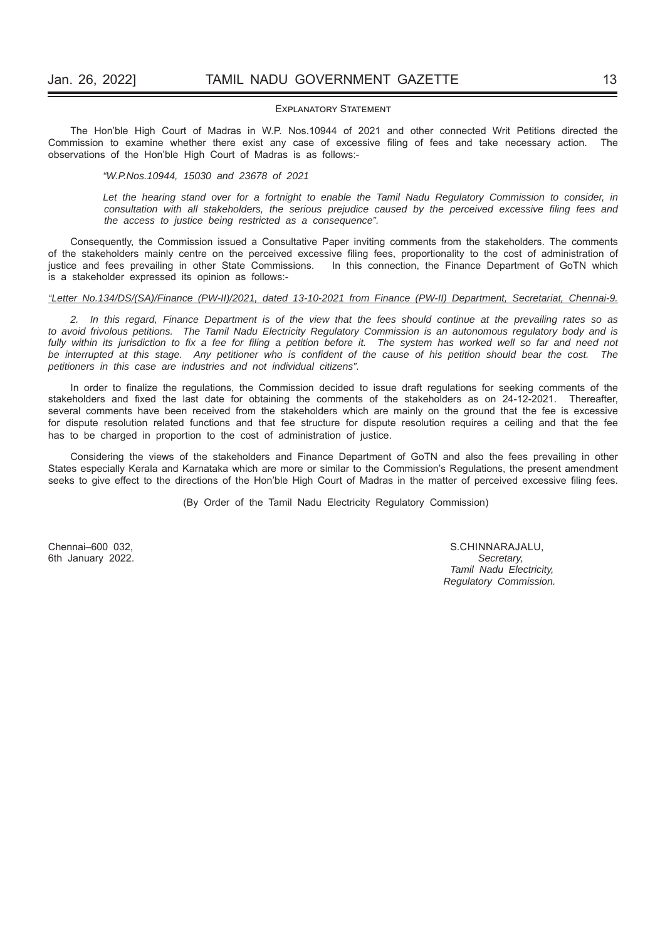### EXPLANATORY STATEMENT

The Hon'ble High Court of Madras in W.P. Nos.10944 of 2021 and other connected Writ Petitions directed the Commission to examine whether there exist any case of excessive filing of fees and take necessary action. The observations of the Hon'ble High Court of Madras is as follows:-

*"W.P.Nos.10944, 15030 and 23678 of 2021*

*Let the hearing stand over for a fortnight to enable the Tamil Nadu Regulatory Commission to consider, in consultation with all stakeholders, the serious prejudice caused by the perceived excessive filing fees and the access to justice being restricted as a consequence".*

Consequently, the Commission issued a Consultative Paper inviting comments from the stakeholders. The comments of the stakeholders mainly centre on the perceived excessive filing fees, proportionality to the cost of administration of justice and fees prevailing in other State Commissions. In this connection, the Finance Department of GoTN which is a stakeholder expressed its opinion as follows:-

### *"Letter No.134/DS/(SA)/Finance (PW-II)/2021, dated 13-10-2021 from Finance (PW-II) Department, Secretariat, Chennai-9.*

*2. In this regard, Finance Department is of the view that the fees should continue at the prevailing rates so as to avoid frivolous petitions. The Tamil Nadu Electricity Regulatory Commission is an autonomous regulatory body and is fully within its jurisdiction to fi x a fee for fi ling a petition before it. The system has worked well so far and need not*  be interrupted at this stage. Any petitioner who is confident of the cause of his petition should bear the cost. The *petitioners in this case are industries and not individual citizens".*

In order to finalize the regulations, the Commission decided to issue draft regulations for seeking comments of the stakeholders and fixed the last date for obtaining the comments of the stakeholders as on 24-12-2021. Thereafter, several comments have been received from the stakeholders which are mainly on the ground that the fee is excessive for dispute resolution related functions and that fee structure for dispute resolution requires a ceiling and that the fee has to be charged in proportion to the cost of administration of justice.

Considering the views of the stakeholders and Finance Department of GoTN and also the fees prevailing in other States especially Kerala and Karnataka which are more or similar to the Commission's Regulations, the present amendment seeks to give effect to the directions of the Hon'ble High Court of Madras in the matter of perceived excessive filing fees.

(By Order of the Tamil Nadu Electricity Regulatory Commission)

6th January 2022.

Chennai–600 032, S.CHINNARAJALU,  *Tamil Nadu Electricity, Regulatory Commission.*